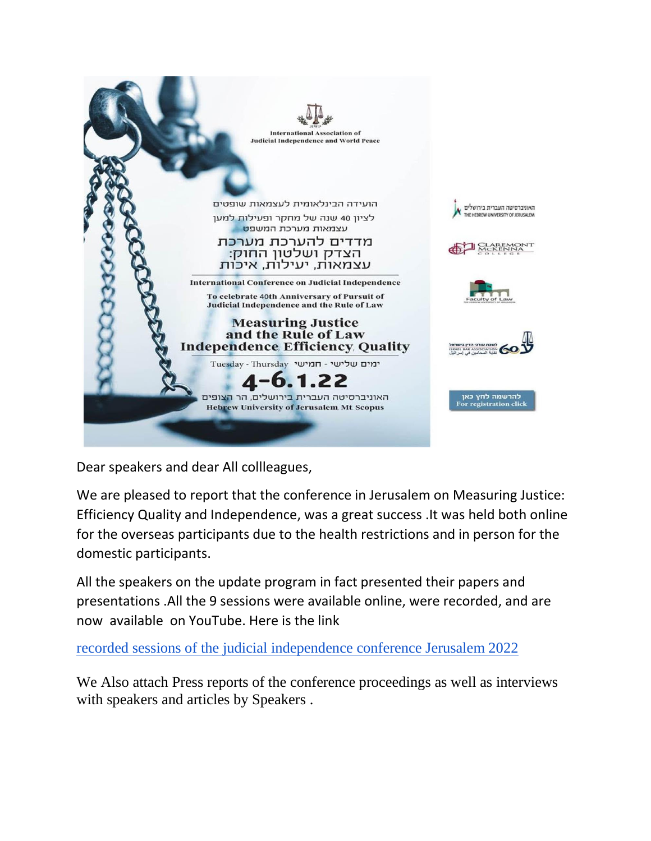

Dear speakers and dear All collleagues,

We are pleased to report that the conference in Jerusalem on Measuring Justice: Efficiency Quality and Independence, was a great success .It was held both online for the overseas participants due to the health restrictions and in person for the domestic participants.

All the speakers on the update program in fact presented their papers and presentations .All the 9 sessions were available online, were recorded, and are now available on YouTube. Here is the link

[recorded sessions of the judicial independence conference Jerusalem 2022](https://youtube.com/playlist?list=PLPaT8TkYr7akR07cT7AR0J39R2HKmQE8f)

We Also attach Press reports of the conference proceedings as well as interviews with speakers and articles by Speakers .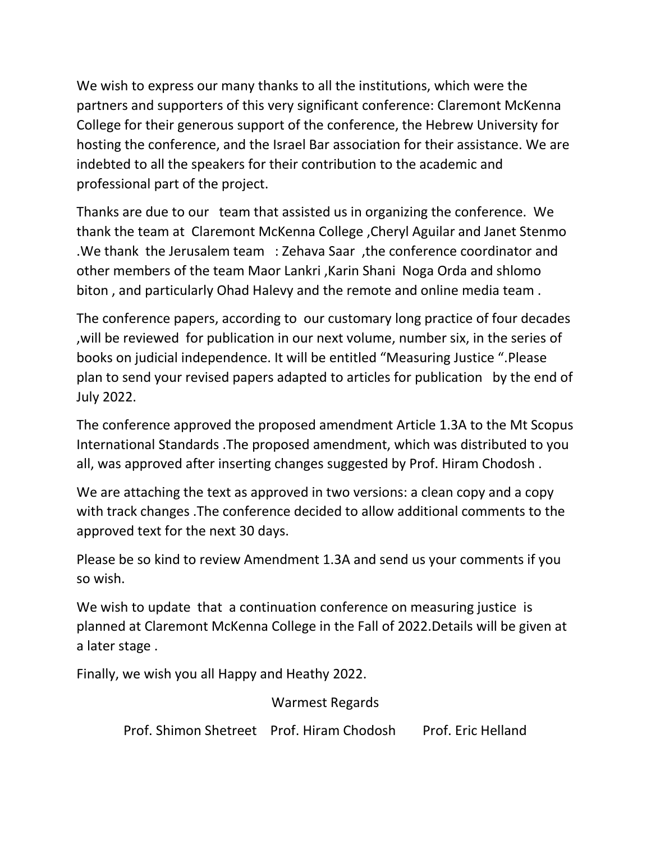We wish to express our many thanks to all the institutions, which were the partners and supporters of this very significant conference: Claremont McKenna College for their generous support of the conference, the Hebrew University for hosting the conference, and the Israel Bar association for their assistance. We are indebted to all the speakers for their contribution to the academic and professional part of the project.

Thanks are due to our team that assisted us in organizing the conference. We thank the team at Claremont McKenna College ,Cheryl Aguilar and Janet Stenmo .We thank the Jerusalem team : Zehava Saar ,the conference coordinator and other members of the team Maor Lankri ,Karin Shani Noga Orda and shlomo biton , and particularly Ohad Halevy and the remote and online media team .

The conference papers, according to our customary long practice of four decades ,will be reviewed for publication in our next volume, number six, in the series of books on judicial independence. It will be entitled "Measuring Justice ".Please plan to send your revised papers adapted to articles for publication by the end of July 2022.

The conference approved the proposed amendment Article 1.3A to the Mt Scopus International Standards .The proposed amendment, which was distributed to you all, was approved after inserting changes suggested by Prof. Hiram Chodosh .

We are attaching the text as approved in two versions: a clean copy and a copy with track changes .The conference decided to allow additional comments to the approved text for the next 30 days.

Please be so kind to review Amendment 1.3A and send us your comments if you so wish.

We wish to update that a continuation conference on measuring justice is planned at Claremont McKenna College in the Fall of 2022.Details will be given at a later stage .

Finally, we wish you all Happy and Heathy 2022.

## Warmest Regards

Prof. Shimon Shetreet Prof. Hiram Chodosh Prof. Eric Helland